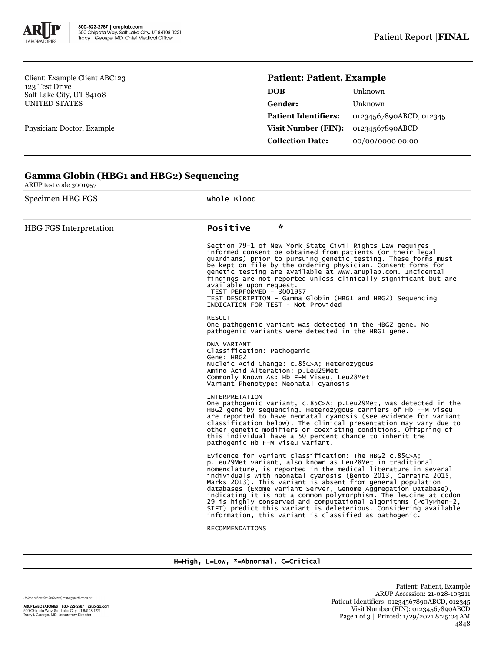

**Gamma Globin (HBG1 and HBG2) Sequencing**

Client: Example Client ABC123 123 Test Drive Salt Lake City, UT 84108 UNITED STATES

Physician: Doctor, Example

## **Patient: Patient, Example**

| DOB                         | Unknown                 |
|-----------------------------|-------------------------|
| Gender:                     | Unknown                 |
| <b>Patient Identifiers:</b> | 01234567890ABCD, 012345 |
| Visit Number (FIN):         | 01234567890ABCD         |
| <b>Collection Date:</b>     | 00/00/0000 00:00        |

| ARUP test code 3001957        |                                                                                                                                                                                                                                                                                                                                                                                                                                                                                                                                                                                                                                                                |  |  |  |  |
|-------------------------------|----------------------------------------------------------------------------------------------------------------------------------------------------------------------------------------------------------------------------------------------------------------------------------------------------------------------------------------------------------------------------------------------------------------------------------------------------------------------------------------------------------------------------------------------------------------------------------------------------------------------------------------------------------------|--|--|--|--|
| Specimen HBG FGS              | Whole Blood                                                                                                                                                                                                                                                                                                                                                                                                                                                                                                                                                                                                                                                    |  |  |  |  |
| <b>HBG FGS Interpretation</b> | $\star$<br>Positive                                                                                                                                                                                                                                                                                                                                                                                                                                                                                                                                                                                                                                            |  |  |  |  |
|                               | Section 79-1 of New York State Civil Rights Law requires<br>informed consent be obtained from patients (or their legal<br>guardians) prior to pursuing genetic testing. These forms must<br>be kept on file by the ordering physician. Consent forms for<br>genetic testing are available at www.aruplab.com. Incidental<br>findings are not reported unless clinically significant but are<br>available upon request.<br>TEST PERFORMED - 3001957<br>TEST DESCRIPTION - Gamma Globin (HBG1 and HBG2) Sequencing<br>INDICATION FOR TEST - Not Provided                                                                                                         |  |  |  |  |
|                               | <b>RESULT</b><br>One pathogenic variant was detected in the HBG2 gene. No<br>pathogenic variants were detected in the HBG1 gene.                                                                                                                                                                                                                                                                                                                                                                                                                                                                                                                               |  |  |  |  |
|                               | DNA VARIANT<br>Classification: Pathogenic<br>Gene: HBG2<br>Nucleic Acid Change: c.85C>A; Heterozygous<br>Amino Acid Alteration: p.Leu29Met<br>Commonly Known As: Hb F-M Viseu, Leu28Met<br>Variant Phenotype: Neonatal cyanosis                                                                                                                                                                                                                                                                                                                                                                                                                                |  |  |  |  |
|                               | <b>INTERPRETATION</b><br>One pathogenic variant, c.85C>A; p.Leu29Met, was detected in the<br>HBG2 gene by sequencing. Heterozygous carriers of Hb F-M Viseu<br>are reported to have neonatal cyanosis (see evidence for variant<br>classification below). The clinical presentation may vary due to<br>other genetic modifiers or coexisting conditions. Offspring of<br>this individual have a 50 percent chance to inherit the<br>pathogenic Hb F-M Viseu variant.                                                                                                                                                                                           |  |  |  |  |
|                               | Evidence for variant classification: The HBG2 c.85C>A;<br>p.Leu29Met variant, also known as Leu28Met in traditional<br>nomenclature, is reported in the medical literature in several<br>individuals with neonatal cyanosis (Bento 2013, Carreira 2015,<br>Marks 2013). This variant is absent from general population<br>databases (Exome Variant Server, Genome Aggregation Database),<br>indicating it is not a common polymorphism. The leucine at codon<br>29 is highly conserved and computational algorithms (PolyPhen-2,<br>SIFT) predict this variant is deleterious. Considering available<br>information, this variant is classified as pathogenic. |  |  |  |  |
|                               | <b>RECOMMENDATIONS</b>                                                                                                                                                                                                                                                                                                                                                                                                                                                                                                                                                                                                                                         |  |  |  |  |
|                               |                                                                                                                                                                                                                                                                                                                                                                                                                                                                                                                                                                                                                                                                |  |  |  |  |

## H=High, L=Low, \*=Abnormal, C=Critical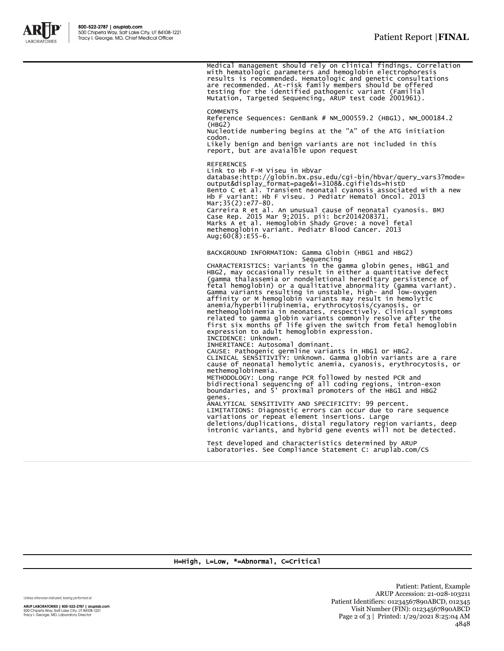

Medical management should rely on clinical findings. Correlation<br>with hematologic parameters and hemoglobin electrophoresis<br>results is recommended. Hematologic and genetic consultations<br>are recommended. At-risk family memb **COMMENTS** Reference Sequences: GenBank # NM\_000559.2 (HBG1), NM\_000184.2  $(HBG2)$ Nucleotide numbering begins at the "A" of the ATG initiation codon. Likely benign and benign variants are not included in this report, but are avaialble upon request REFERENCES Link to Hb F-M Viseu in HbVar database:http://globin.bx.psu.edu/cgi-bin/hbvar/query\_vars3?mode= output&display\_format=page&i=3108&.cgifields=histD Bento C et al. Transient neonatal cyanosis associated with a new Hb F variant: Hb F viseu. J Pediatr Hematol Oncol. 2013 Mar;35(2):e77-80. Carreira R et al. An unusual cause of neonatal cyanosis. BMJ Case Rep. 2015 Mar 9;2015. pii: bcr2014208371. Marks A et al. Hemoglobin Shady Grove: a novel fetal methemoglobin variant. Pediatr Blood Cancer. 2013 Aug;  $60(\text{8})$ : E55-6. BACKGROUND INFORMATION: Gamma Globin (HBG1 and HBG2) Sequencing CHARACTERISTICS: Variants in the gamma globin genes, HBG1 and HBG2, may occasionally result in either a quantitative defect (gamma thalassemia or nondeletional hereditary persistence of fetal hemoglobin) or a qualitative abnormality (gamma variant). Gamma variants resulting in unstable, high- and low-oxygen affinity or M hemoglobin variants may result in hemolytic anemia/hyperbilirubinemia, erythrocytosis/cyanosis, or methemoglobinemia in neonates, respectively. Clinical symptoms<br>related to gamma globin variants commonly resolve after the<br>first six months of life given the switch from fetal hemoglobin<br>expression to adult hemoglobin expr INCIDENCE: Unknown. INHERITANCE: Autosomal dominant. CAUSE: Pathogenic germline variants in HBG1 or HBG2. CLINICAL SENSITIVITY: Unknown. Gamma globin variants are a rare cause of neonatal hemolytic anemia, cyanosis, erythrocytosis, or methemoglobinemia. METHODOLOGY: Long range PCR followed by nested PCR and bidirectional sequencing of all coding regions, intron-exon boundaries, and 5' proximal promoters of the HBG1 and HBG2 genes. ANALYTICAL SENSITIVITY AND SPECIFICITY: 99 percent. LIMITATIONS: Diagnostic errors can occur due to rare sequence variations or repeat element insertions. Large deletions/duplications, distal regulatory region variants, deep intronic variants, and hybrid gene events will not be detected. Test developed and characteristics determined by ARUP Laboratories. See Compliance Statement C: aruplab.com/CS

## H=High, L=Low, \*=Abnormal, C=Critical

Unless otherwise indicated, testing performed at:

ARUP LABORATORIES | 800-522-2787 | aruplab.com 500 Chipeta Way, Salt Lake City, UT 84108-1221<br>Tracy I. George, MD, Laboratory Director

Patient: Patient, Example ARUP Accession: 21-028-103211 Patient Identifiers: 01234567890ABCD, 012345 Visit Number (FIN): 01234567890ABCD Page 2 of 3 | Printed: 1/29/2021 8:25:04 AM 4848